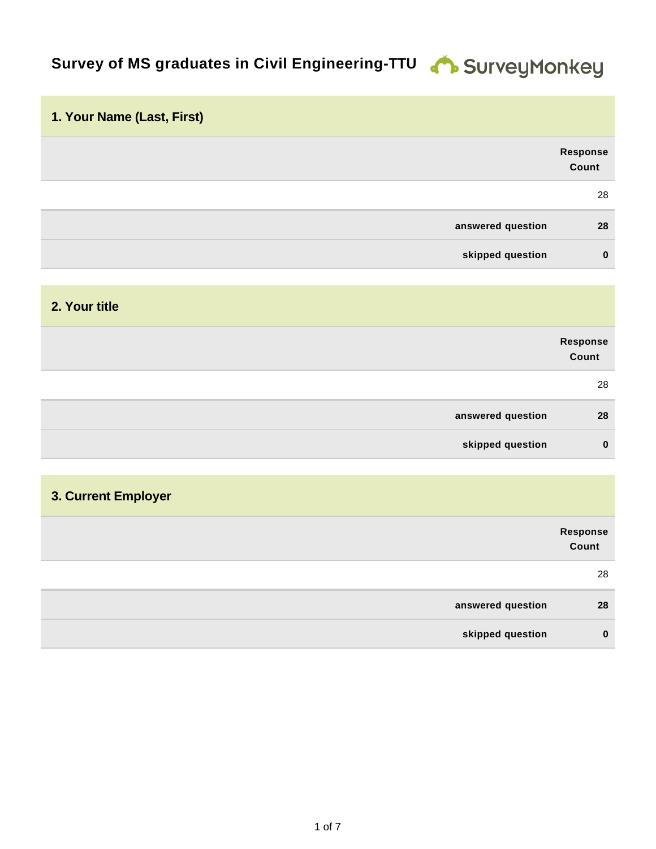# **Survey of MS graduates in Civil Engineering-TTU & SurveyMonkey**

| 1. Your Name (Last, First) |                   |
|----------------------------|-------------------|
|                            | Response<br>Count |
|                            | 28                |
| answered question          | 28                |
| skipped question           | $\mathbf 0$       |
|                            |                   |
| 2. Your title              |                   |
|                            | Response<br>Count |
|                            | 28                |
| answered question          | 28                |
| skipped question           | $\mathbf 0$       |
|                            |                   |

#### **3. Current Employer**

|                   | Response<br>Count |
|-------------------|-------------------|
|                   | 28                |
| answered question | 28                |
| skipped question  | $\bf{0}$          |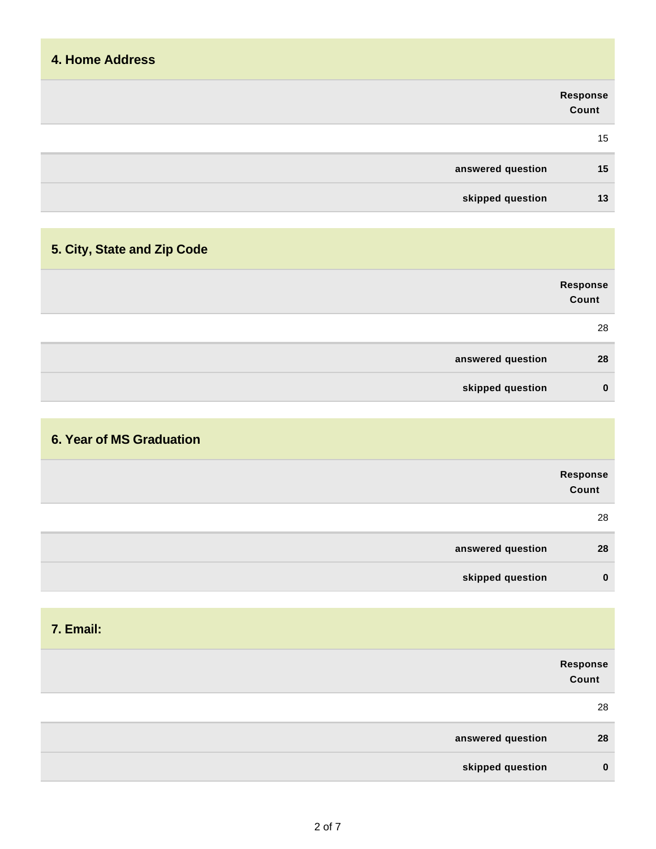| <b>4. Home Address</b> |                   |
|------------------------|-------------------|
|                        | Response<br>Count |
|                        | 15                |
| answered question      | 15                |
| skipped question       | 13                |
|                        |                   |

# **5. City, State and Zip Code**

|                   | Response<br>Count |
|-------------------|-------------------|
|                   | 28                |
| answered question | 28                |
| skipped question  | $\bf{0}$          |

## **6. Year of MS Graduation**

|                   | Response<br>Count |
|-------------------|-------------------|
|                   | 28                |
| answered question | 28                |
| skipped question  | $\bf{0}$          |

| 7. Email:         |                   |
|-------------------|-------------------|
|                   | Response<br>Count |
|                   | 28                |
| answered question | 28                |
| skipped question  | $\bf{0}$          |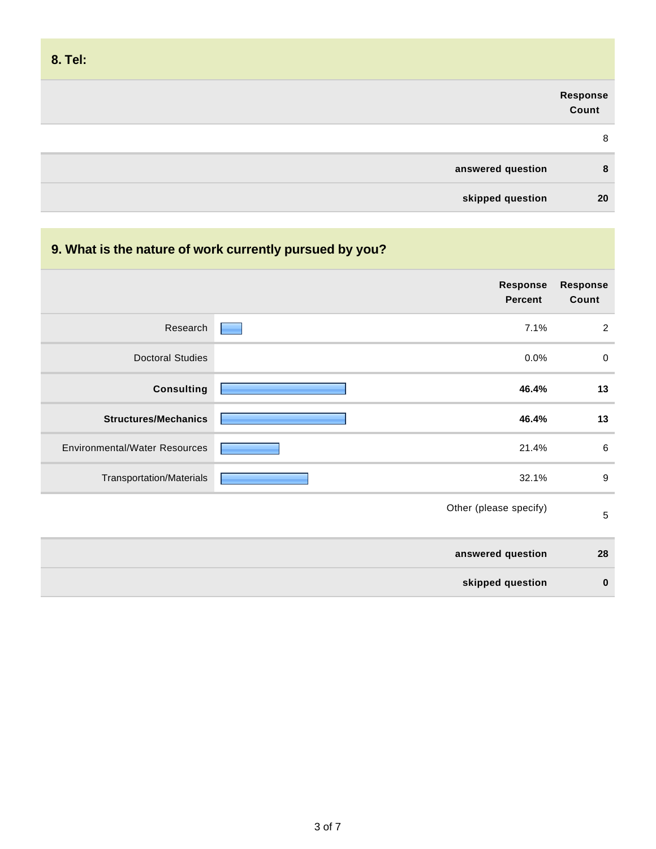| 8. Tel:           |                   |
|-------------------|-------------------|
|                   | Response<br>Count |
|                   | 8                 |
| answered question | 8                 |
| skipped question  | 20                |

| 9. What is the nature of work currently pursued by you? |                            |                          |
|---------------------------------------------------------|----------------------------|--------------------------|
|                                                         | Response<br><b>Percent</b> | <b>Response</b><br>Count |
| Research                                                | 7.1%                       | $\overline{2}$           |
| <b>Doctoral Studies</b>                                 | 0.0%                       | $\mathbf 0$              |
| <b>Consulting</b>                                       | 46.4%                      | 13                       |
| <b>Structures/Mechanics</b>                             | 46.4%                      | 13                       |
| <b>Environmental/Water Resources</b>                    | 21.4%                      | $\,6\,$                  |
| Transportation/Materials                                | 32.1%                      | $\boldsymbol{9}$         |
|                                                         | Other (please specify)     | $\mathbf 5$              |
|                                                         | answered question          | 28                       |
|                                                         | skipped question           | $\bf{0}$                 |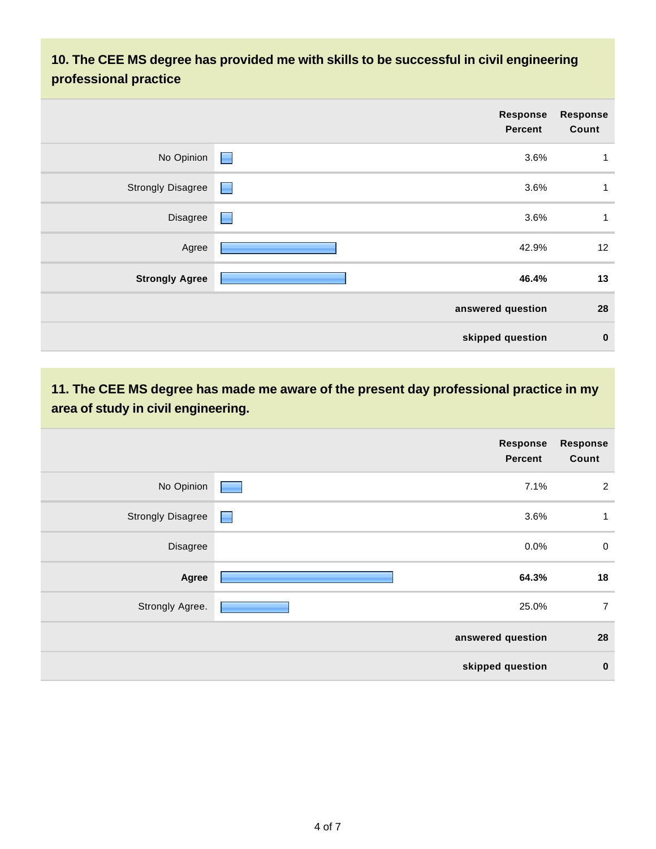## **10. The CEE MS degree has provided me with skills to be successful in civil engineering professional practice**

|                          | Response<br><b>Percent</b> | <b>Response</b><br>Count |
|--------------------------|----------------------------|--------------------------|
| No Opinion               | $\blacksquare$<br>3.6%     | $\mathbf{1}$             |
| <b>Strongly Disagree</b> | 3.6%<br>$\blacksquare$     | $\mathbf{1}$             |
| Disagree                 | 3.6%<br>Е                  | $\mathbf 1$              |
| Agree                    | 42.9%                      | 12                       |
| <b>Strongly Agree</b>    | 46.4%                      | 13                       |
|                          | answered question          | 28                       |
|                          | skipped question           | $\bf{0}$                 |

**11. The CEE MS degree has made me aware of the present day professional practice in my area of study in civil engineering.**

|                          | <b>Response</b><br><b>Percent</b> | <b>Response</b><br>Count |
|--------------------------|-----------------------------------|--------------------------|
| No Opinion               | 7.1%                              | $\overline{2}$           |
| <b>Strongly Disagree</b> | 3.6%<br><u>e</u>                  | $\mathbf{1}$             |
| Disagree                 | 0.0%                              | $\mathbf 0$              |
| Agree                    | 64.3%                             | 18                       |
| Strongly Agree.          | 25.0%                             | $\overline{7}$           |
|                          | answered question                 | 28                       |
|                          | skipped question                  | $\bf{0}$                 |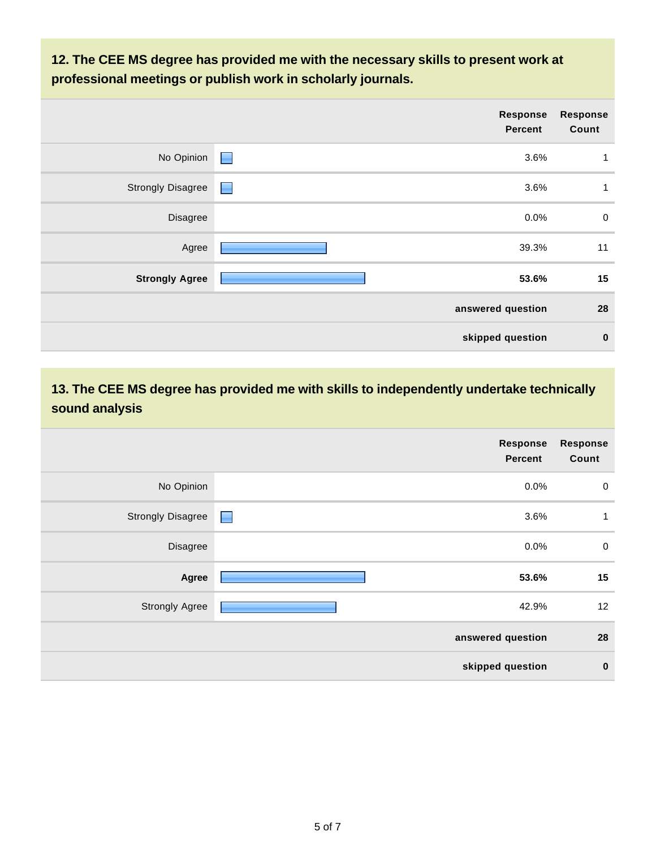**12. The CEE MS degree has provided me with the necessary skills to present work at professional meetings or publish work in scholarly journals.**

|                          | Response<br><b>Percent</b> | <b>Response</b><br>Count |
|--------------------------|----------------------------|--------------------------|
| No Opinion               | $\blacksquare$<br>3.6%     | $\mathbf 1$              |
| <b>Strongly Disagree</b> | 3.6%<br><b>Report</b>      | 1                        |
| Disagree                 | $0.0\%$                    | $\mathbf 0$              |
| Agree                    | 39.3%                      | 11                       |
| <b>Strongly Agree</b>    | 53.6%                      | 15                       |
|                          | answered question          | 28                       |
|                          | skipped question           | $\bf{0}$                 |

## **13. The CEE MS degree has provided me with skills to independently undertake technically sound analysis**

|                          | Response<br><b>Percent</b> | <b>Response</b><br>Count |
|--------------------------|----------------------------|--------------------------|
| No Opinion               | 0.0%                       | $\mathbf 0$              |
| <b>Strongly Disagree</b> | 3.6%<br>$\blacksquare$     | 1                        |
| Disagree                 | $0.0\%$                    | $\mathbf 0$              |
| Agree                    | 53.6%                      | 15                       |
| <b>Strongly Agree</b>    | 42.9%                      | 12                       |
|                          | answered question          | 28                       |
|                          | skipped question           | $\bf{0}$                 |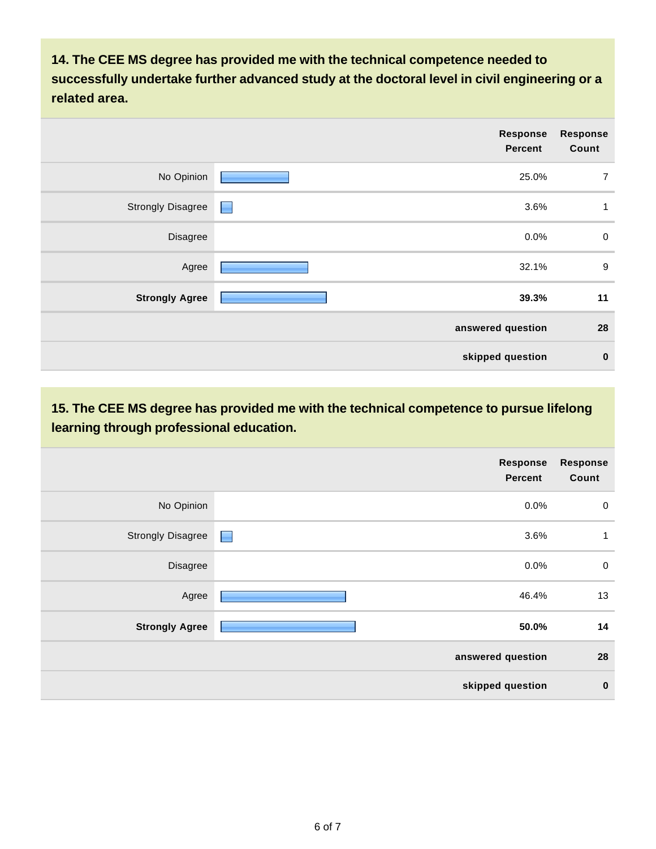**14. The CEE MS degree has provided me with the technical competence needed to successfully undertake further advanced study at the doctoral level in civil engineering or a related area.** 

|                          | <b>Response</b><br>Percent | <b>Response</b><br>Count |
|--------------------------|----------------------------|--------------------------|
| No Opinion               | 25.0%                      | $\overline{7}$           |
| <b>Strongly Disagree</b> | 3.6%<br>$\blacksquare$     | 1                        |
| Disagree                 | 0.0%                       | $\pmb{0}$                |
| Agree                    | 32.1%                      | 9                        |
| <b>Strongly Agree</b>    | 39.3%                      | 11                       |
|                          | answered question          | 28                       |
|                          | skipped question           | $\bf{0}$                 |

**15. The CEE MS degree has provided me with the technical competence to pursue lifelong learning through professional education.**

|                          | <b>Response</b><br><b>Percent</b> | <b>Response</b><br>Count |
|--------------------------|-----------------------------------|--------------------------|
| No Opinion               | 0.0%                              | $\pmb{0}$                |
| <b>Strongly Disagree</b> | 3.6%<br><b>Alberta</b>            | $\mathbf{1}$             |
| Disagree                 | 0.0%                              | $\pmb{0}$                |
| Agree                    | 46.4%                             | 13                       |
| <b>Strongly Agree</b>    | 50.0%                             | 14                       |
|                          | answered question                 | 28                       |
|                          | skipped question                  | $\mathbf 0$              |